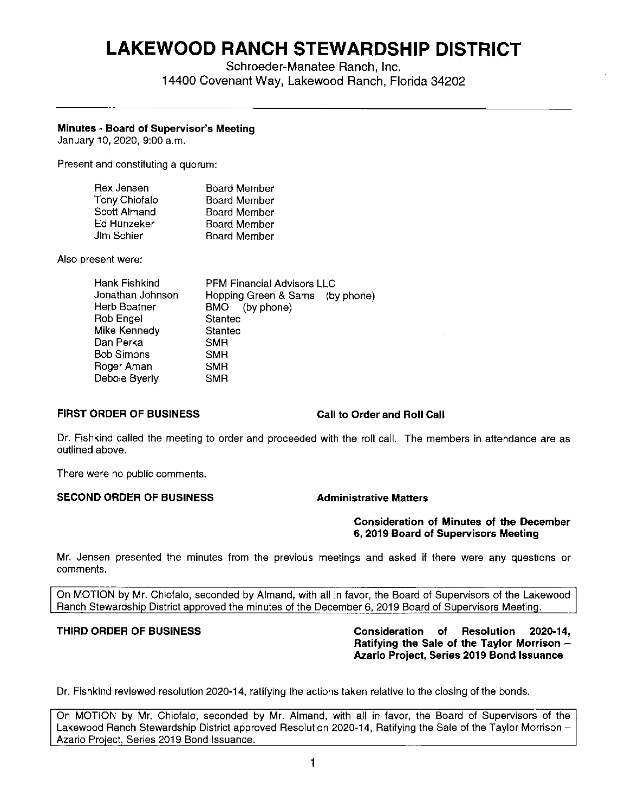# **LAKEWOOD RANCH STEWARDSHIP DISTRICT**

Schroeder-Manatee Ranch, Inc. 14400 Covenant Way, Lakewood Ranch, Florida 34202

# **Minutes - Board of Supervisor's Meeting**

January 10, 2020, 9:00 a.m.

Present and constituting a quorum:

| Rex Jensen    | Board Member        |
|---------------|---------------------|
| Tony Chiofalo | Board Member        |
| Scott Almand  | <b>Board Member</b> |
| Ed Hunzeker   | <b>Board Member</b> |
| Jim Schier    | <b>Board Member</b> |

Also present were:

| Hank Fishkind    | <b>PFM Financial Advisors LLC</b> |  |
|------------------|-----------------------------------|--|
| Jonathan Johnson | Hopping Green & Sams (by phone)   |  |
| Herb Boatner     | BMO (by phone)                    |  |
| Rob Engel        | <b>Stantec</b>                    |  |
| Mike Kennedy     | Stantec                           |  |
| Dan Perka        | <b>SMR</b>                        |  |
| Bob Simons       | <b>SMR</b>                        |  |
| Roger Aman       | <b>SMR</b>                        |  |
| Debbie Byerly    | <b>SMR</b>                        |  |
|                  |                                   |  |

# **FIRST ORDER OF BUSINESS Call to Order and Roll Call**

Dr. Fishkind called the meeting to order and proceeded with the roll call. The members in attendance are as outlined above.

There were no public comments.

### **SECOND ORDER OF BUSINESS Administrative Matters**

### **Consideration of Minutes of the December 6, 2019 Board of Supervisors Meeting**

Mr. Jensen presented the minutes from the previous meetings and asked if there were any questions or comments.

On MOTION by Mr. Chiofalo, seconded by Almand, with all in favor, the Board of Supervisors of the Lakewood Ranch Stewardship District approved the minutes of the December 6, 2019 Board of Supervisors Meeting.

**THIRD ORDER OF BUSINESS Consideration of Resolution 2020-14, Ratifying the Sale of the Taylor Morrison** - **Azario Project, Series 2019 Bond Issuance** 

Dr. Fishkind reviewed resolution 2020-14, ratifying the actions taken relative to the closing of the bonds.

On MOTION by Mr. Chiofalo, seconded by Mr. Almand, with all in favor, the Board of Supervisors of the Lakewood Ranch Stewardship District approved Resolution 2020-14, Ratifying the Sale of the Taylor Morrison -Azario Project, Series 2019 Bond Issuance.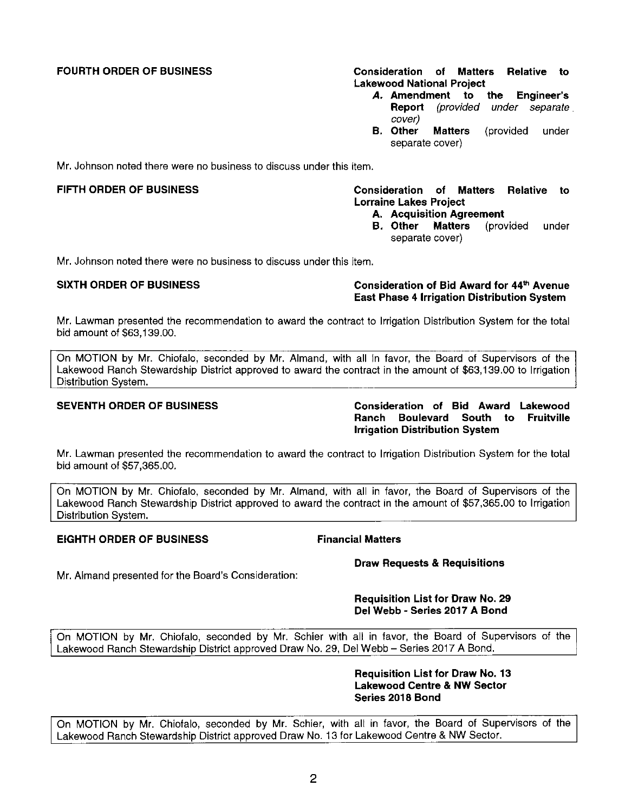**FOURTH ORDER OF BUSINESS Consideration of Matters Relative to Lakewood National Project** 

- *A.* **Amendment to the Engineer's Report** (provided under separate cover)<br>B. Other
- **Matters** (provided under separate cover)

Mr. Johnson noted there were no business to discuss under this item.

# FIFTH ORDER OF BUSINESS **Consideration of Matters Relative to Lorraine Lakes Project**

- **A. Acquisition Agreement**
- (provided under separate cover)

Mr. Johnson noted there were no business to discuss under this item.

# **SIXTH ORDER OF BUSINESS Consideration of Bid Award for 44th Avenue East Phase 4 Irrigation Distribution System**

Mr. Lawman presented the recommendation to award the contract to Irrigation Distribution System for the total bid amount of \$[63,139.00.](https://63,139.00)

On MOTION by Mr. Chiofalo, seconded by Mr. Almand, with all in favor, the Board of Supervisors of the Lakewood Ranch Stewardship District approved to award the contract in the amount of \$[63,139.00](https://63,139.00) to Irrigation Distribution System.

**SEVENTH ORDER OF BUSINESS Consideration of Bid Award Lakewood Ranch Boulevard South to Fruitville Irrigation Distribution System** 

**Mr.** Lawman presented the recommendation to award the contract to Irrigation Distribution System for the total bid amount of \$[57,365.00](https://57,365.00).

On MOTION by Mr. Chiofalo, seconded by Mr. Almand, with all in favor, the Board of Supervisors of the Lakewood Ranch Stewardship District approved to award the contract in the amount of [\\$57,365.00](https://57,365.00) to Irrigation Distribution System.

# **EIGHTH ORDER OF BUSINESS Financial Matters**

**Draw Requests & Requisitions** 

Mr. Almand presented for the Board's Consideration:

# **Requisition List for Draw No. 29 Del Webb - Series 2017 A Bond**

On MOTION by Mr. Chiofalo, seconded by Mr. Schier with all in favor, the Board of Supervisors of the Lakewood Ranch Stewardship District approved Draw No. 29, Del Webb - Series 2017 **A** Bond.

# **Requisition List for Draw No. 13 Lakewood Centre & NW Sector Series 2018 Bond**

On MOTION by Mr. Chiofalo, seconded by Mr. Schier, with all in favor, the Board of Supervisors of the Lakewood Ranch Stewardship District approved Draw No. 13 for Lakewood Centre & NW Sector.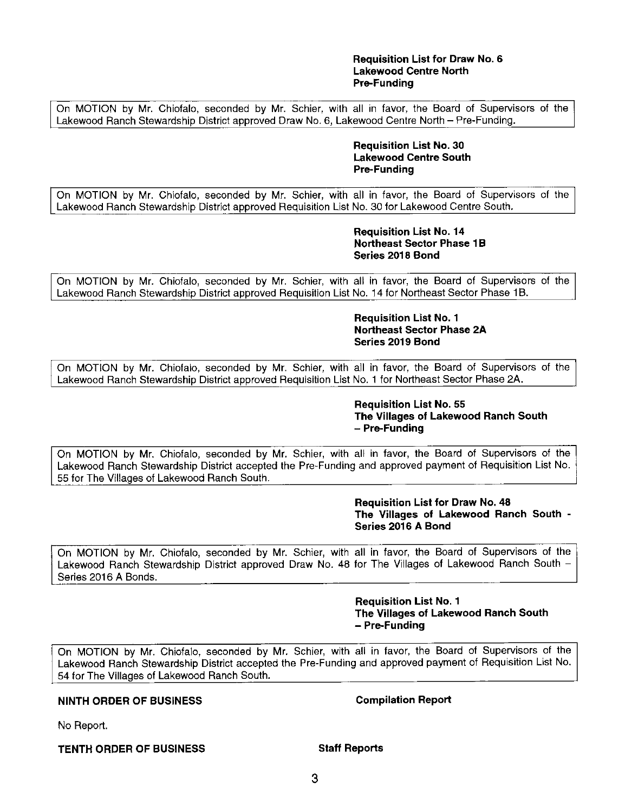# **Requisition List for Draw No. 6 Lakewood Centre North Pre-Funding**

On MOTION by Mr. Chiofalo, seconded by Mr. Schier, with all in favor, the Board of Supervisors of the Lakewood Ranch Stewardship District approved Draw No. 6, Lakewood Centre North - Pre-Funding.

### **Requisition List No. 30 Lakewood Centre South Pre-Funding**

On MOTION by **Mr.** Chiofalo, seconded by Mr. Schier, with all in favor, the Board of Supervisors of the Lakewood Ranch Stewardship District approved Requisition List No. 30 for Lakewood Centre South.

# **Requisition List No. 14 Northeast Sector Phase 1B Series 2018 Bond**

On MOTION by Mr. Chiofalo, seconded by Mr. Schier, with all in favor, the Board of Supervisors of the Lakewood Ranch Stewardship District approved Requisition List No. 14 for Northeast Sector Phase 1B.

# **Requisition List No. 1 Northeast Sector Phase 2A Series 2019 Bond**

On MOTION by Mr. Chiofalo, seconded by Mr. Schier, with all in favor, the Board of Supervisors of the Lakewood Ranch Stewardship District approved Requisition List No. 1 for Northeast Sector Phase 2A.

### **Requisition List No. 55 The Villages of Lakewood Ranch South**  - **Pre-Funding**

On MOTION by Mr. Chiofalo, seconded by Mr. Schier, with all in favor, the Board of Supervisors of the Lakewood Ranch Stewardship District accepted the Pre-Funding and approved payment of Requisition List No. 55 for The Villages of Lakewood Ranch South.

> **Requisition List for Draw No. 48 The Villages of Lakewood Ranch South** - **Series 2016 A Bond**

On MOTION by Mr. Chiofalo, seconded by Mr. Schier, with all in favor, the Board of Supervisors of the Lakewood Ranch Stewardship District approved Draw No. 48 for The Villages of Lakewood Ranch South -Series 2016 **A** Bonds.

# **Requisition List No. 1 The Villages of Lakewood Ranch South**  - **Pre-Funding**

On MOTION by Mr. Chiofalo, seconded by Mr. Schier, with all in favor, the Board of Supervisors of the Lakewood Ranch Stewardship District accepted the Pre-Funding and approved payment of Requisition List No. 54 for The Villages of Lakewood Ranch South.

# **NINTH ORDER OF BUSINESS Compilation Report**

No Report.

**TENTH ORDER OF BUSINESS Staff Reports**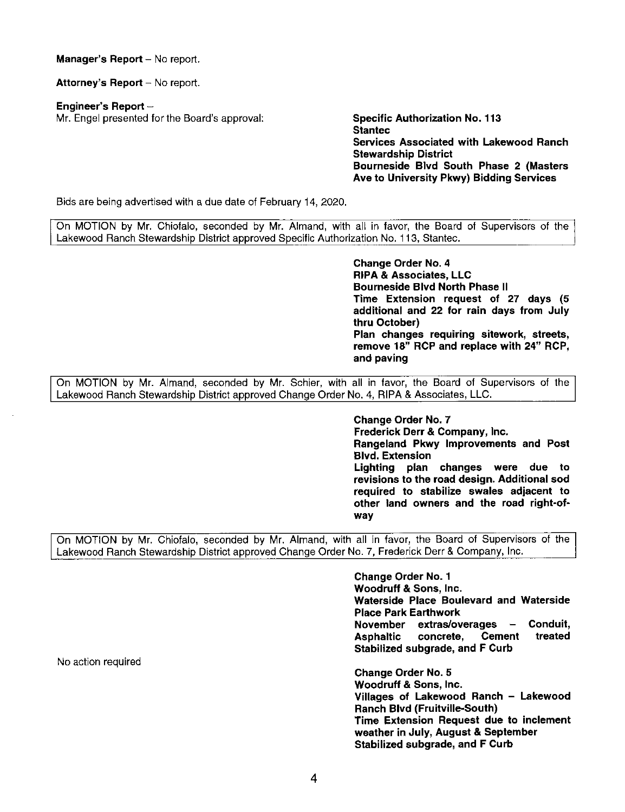**Manager's Report** - No report.

Attorney's Report - No report.

**Engineer's Report** -

Mr. Engel presented for the Board's approval: **Specific Authorization No. 113** 

**Stantec Services Associated with Lakewood Ranch Stewardship District Bourneside Blvd South Phase 2 (Masters Ave to University Pkwy) Bidding Services** 

Bids are being advertised with a due date of February 14, 2020.

On MOTION by Mr. Chiofalo, seconded by Mr. Almand, with all in favor, the Board of Supervisors of the Lakewood Ranch Stewardship District approved Specific Authorization No. 113, Staniec.

> **Change Order No. 4 RIPA** & **Associates, LLC Bourneside Blvd North Phase** II **Time Extension request of 27 days (5 additional and 22 for rain days from July thru October) Plan changes requiring sitework, streets, remove 18" RCP and replace with 24" RCP, and paving**

On MOTION by Mr. Almand, seconded by Mr. Schier, with all in favor, the Board of Supervisors of the Lakewood Ranch Stewardship District approved Change Order No. 4, RIPA & Associates, LLC.

> **Change Order No.** 7 **Frederick Derr** & **Company, Inc. Rangeland Pkwy Improvements and Post Blvd. Extension Lighting plan changes were due to revisions to the road design. Additional sod required to stabilize swales adjacent to other land owners and the road right-ofway**

On MOTION by Mr. Chiofalo, seconded by Mr. Almand, with all in favor, the Board of Supervisors of the Lakewood Ranch Stewardship District approved Change Order No. 7, Frederick Derr & Company, Inc.

> **Change Order No. 1 Woodruff** & **Sons, Inc. Waterside Place Boulevard and Waterside Place Park Earthwork November extras/overages** - **Conduit, Asphaltic concrete, Cement treated Stabilized subgrade, and F Curb**

> **Change Order No. 5 Woodruff** & **Sons, Inc. Villages of Lakewood Ranch** - **Lakewood Ranch Blvd (Fruitville-South) Time Extension Request due to inclement weather in July, August** & **September Stabilized subgrade, and F Curb**

No action required